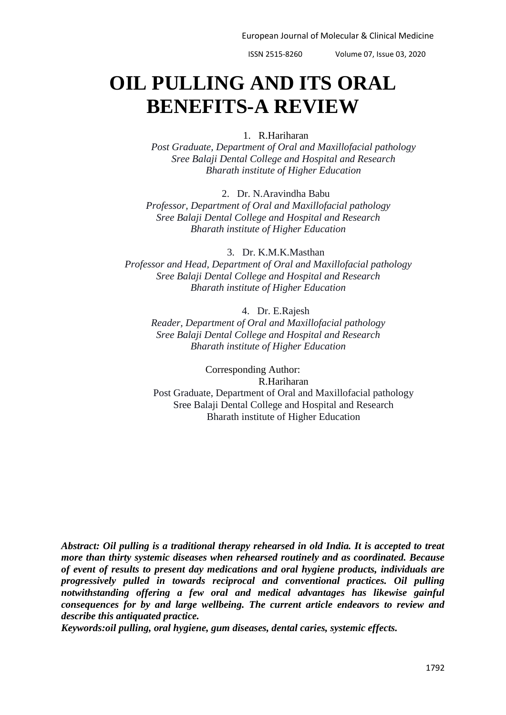European Journal of Molecular & Clinical Medicine

ISSN 2515-8260 Volume 07, Issue 03, 2020

# **OIL PULLING AND ITS ORAL BENEFITS-A REVIEW**

# 1. R.Hariharan

*Post Graduate, Department of Oral and Maxillofacial pathology Sree Balaji Dental College and Hospital and Research Bharath institute of Higher Education*

2. Dr. N.Aravindha Babu

*Professor, Department of Oral and Maxillofacial pathology Sree Balaji Dental College and Hospital and Research Bharath institute of Higher Education*

3. Dr. K.M.K.Masthan *Professor and Head, Department of Oral and Maxillofacial pathology Sree Balaji Dental College and Hospital and Research Bharath institute of Higher Education*

4. Dr. E.Rajesh *Reader, Department of Oral and Maxillofacial pathology Sree Balaji Dental College and Hospital and Research Bharath institute of Higher Education*

Corresponding Author: R.Hariharan Post Graduate, Department of Oral and Maxillofacial pathology Sree Balaji Dental College and Hospital and Research Bharath institute of Higher Education

*Abstract: Oil pulling is a traditional therapy rehearsed in old India. It is accepted to treat more than thirty systemic diseases when rehearsed routinely and as coordinated. Because of event of results to present day medications and oral hygiene products, individuals are progressively pulled in towards reciprocal and conventional practices. Oil pulling notwithstanding offering a few oral and medical advantages has likewise gainful consequences for by and large wellbeing. The current article endeavors to review and describe this antiquated practice.*

*Keywords:oil pulling, oral hygiene, gum diseases, dental caries, systemic effects.*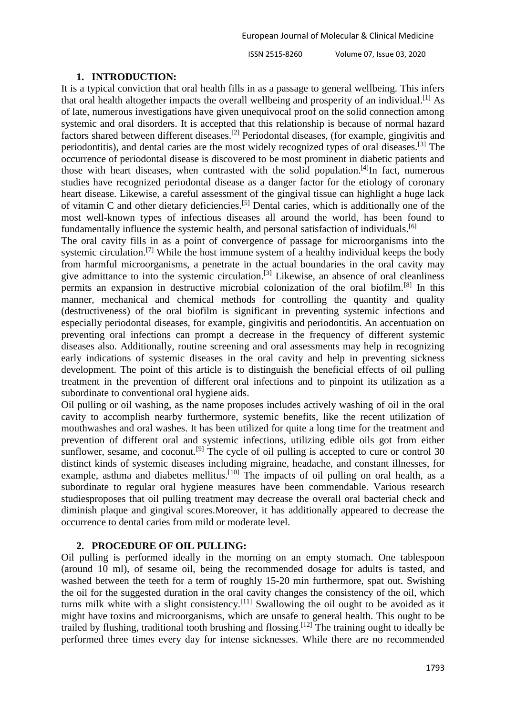### **1. INTRODUCTION:**

It is a typical conviction that oral health fills in as a passage to general wellbeing. This infers that oral health altogether impacts the overall wellbeing and prosperity of an individual.<sup>[1]</sup> As of late, numerous investigations have given unequivocal proof on the solid connection among systemic and oral disorders. It is accepted that this relationship is because of normal hazard factors shared between different diseases.[2] Periodontal diseases, (for example, gingivitis and periodontitis), and dental caries are the most widely recognized types of oral diseases.[3] The occurrence of periodontal disease is discovered to be most prominent in diabetic patients and those with heart diseases, when contrasted with the solid population.<sup>[4]</sup>In fact, numerous studies have recognized periodontal disease as a danger factor for the etiology of coronary heart disease. Likewise, a careful assessment of the gingival tissue can highlight a huge lack of vitamin C and other dietary deficiencies.[5] Dental caries, which is additionally one of the most well-known types of infectious diseases all around the world, has been found to fundamentally influence the systemic health, and personal satisfaction of individuals.<sup>[6]</sup>

The oral cavity fills in as a point of convergence of passage for microorganisms into the systemic circulation.<sup>[7]</sup> While the host immune system of a healthy individual keeps the body from harmful microorganisms, a penetrate in the actual boundaries in the oral cavity may give admittance to into the systemic circulation.<sup>[3]</sup> Likewise, an absence of oral cleanliness permits an expansion in destructive microbial colonization of the oral biofilm.[8] In this manner, mechanical and chemical methods for controlling the quantity and quality (destructiveness) of the oral biofilm is significant in preventing systemic infections and especially periodontal diseases, for example, gingivitis and periodontitis. An accentuation on preventing oral infections can prompt a decrease in the frequency of different systemic diseases also. Additionally, routine screening and oral assessments may help in recognizing early indications of systemic diseases in the oral cavity and help in preventing sickness development. The point of this article is to distinguish the beneficial effects of oil pulling treatment in the prevention of different oral infections and to pinpoint its utilization as a subordinate to conventional oral hygiene aids.

Oil pulling or oil washing, as the name proposes includes actively washing of oil in the oral cavity to accomplish nearby furthermore, systemic benefits, like the recent utilization of mouthwashes and oral washes. It has been utilized for quite a long time for the treatment and prevention of different oral and systemic infections, utilizing edible oils got from either sunflower, sesame, and coconut.<sup>[9]</sup> The cycle of oil pulling is accepted to cure or control 30 distinct kinds of systemic diseases including migraine, headache, and constant illnesses, for example, asthma and diabetes mellitus.<sup>[10]</sup> The impacts of oil pulling on oral health, as a subordinate to regular oral hygiene measures have been commendable. Various research studiesproposes that oil pulling treatment may decrease the overall oral bacterial check and diminish plaque and gingival scores.Moreover, it has additionally appeared to decrease the occurrence to dental caries from mild or moderate level.

# **2. PROCEDURE OF OIL PULLING:**

Oil pulling is performed ideally in the morning on an empty stomach. One tablespoon (around 10 ml), of sesame oil, being the recommended dosage for adults is tasted, and washed between the teeth for a term of roughly 15-20 min furthermore, spat out. Swishing the oil for the suggested duration in the oral cavity changes the consistency of the oil, which turns milk white with a slight consistency.<sup>[11]</sup> Swallowing the oil ought to be avoided as it might have toxins and microorganisms, which are unsafe to general health. This ought to be trailed by flushing, traditional tooth brushing and flossing.<sup>[12]</sup> The training ought to ideally be performed three times every day for intense sicknesses. While there are no recommended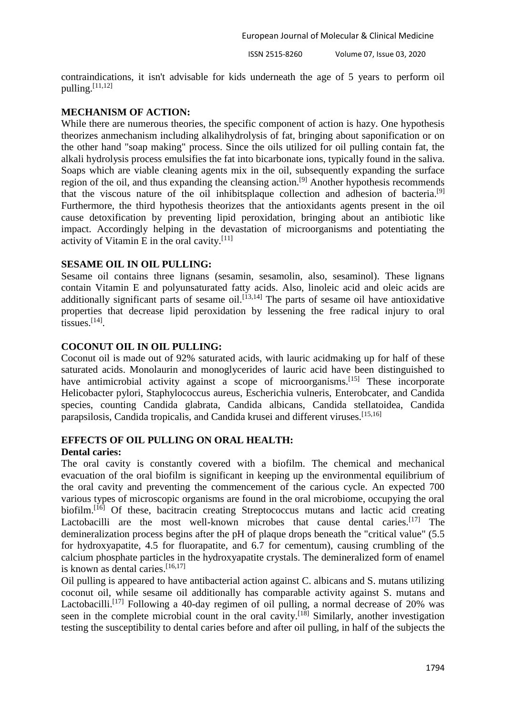contraindications, it isn't advisable for kids underneath the age of 5 years to perform oil  $pulling.$ <sup>[11,12]</sup>

# **MECHANISM OF ACTION:**

While there are numerous theories, the specific component of action is hazy. One hypothesis theorizes anmechanism including alkalihydrolysis of fat, bringing about saponification or on the other hand "soap making" process. Since the oils utilized for oil pulling contain fat, the alkali hydrolysis process emulsifies the fat into bicarbonate ions, typically found in the saliva. Soaps which are viable cleaning agents mix in the oil, subsequently expanding the surface region of the oil, and thus expanding the cleansing action.[9] Another hypothesis recommends that the viscous nature of the oil inhibitsplaque collection and adhesion of bacteria.[9] Furthermore, the third hypothesis theorizes that the antioxidants agents present in the oil cause detoxification by preventing lipid peroxidation, bringing about an antibiotic like impact. Accordingly helping in the devastation of microorganisms and potentiating the activity of Vitamin E in the oral cavity. $[11]$ 

# **SESAME OIL IN OIL PULLING:**

Sesame oil contains three lignans (sesamin, sesamolin, also, sesaminol). These lignans contain Vitamin E and polyunsaturated fatty acids. Also, linoleic acid and oleic acids are additionally significant parts of sesame oil.<sup>[13,14]</sup> The parts of sesame oil have antioxidative properties that decrease lipid peroxidation by lessening the free radical injury to oral tissues.[14] .

# **COCONUT OIL IN OIL PULLING:**

Coconut oil is made out of 92% saturated acids, with lauric acidmaking up for half of these saturated acids. Monolaurin and monoglycerides of lauric acid have been distinguished to have antimicrobial activity against a scope of microorganisms.<sup>[15]</sup> These incorporate Helicobacter pylori, Staphylococcus aureus, Escherichia vulneris, Enterobcater, and Candida species, counting Candida glabrata, Candida albicans, Candida stellatoidea, Candida parapsilosis, Candida tropicalis, and Candida krusei and different viruses.<sup>[15,16]</sup>

#### **EFFECTS OF OIL PULLING ON ORAL HEALTH: Dental caries:**

The oral cavity is constantly covered with a biofilm. The chemical and mechanical evacuation of the oral biofilm is significant in keeping up the environmental equilibrium of the oral cavity and preventing the commencement of the carious cycle. An expected 700 various types of microscopic organisms are found in the oral microbiome, occupying the oral biofilm.<sup>[16]</sup> Of these, bacitracin creating Streptococcus mutans and lactic acid creating Lactobacilli are the most well-known microbes that cause dental caries.<sup>[17]</sup> The demineralization process begins after the pH of plaque drops beneath the "critical value" (5.5 for hydroxyapatite, 4.5 for fluorapatite, and 6.7 for cementum), causing crumbling of the calcium phosphate particles in the hydroxyapatite crystals. The demineralized form of enamel is known as dental caries.<sup>[16,17]</sup>

Oil pulling is appeared to have antibacterial action against C. albicans and S. mutans utilizing coconut oil, while sesame oil additionally has comparable activity against S. mutans and Lactobacilli.<sup>[17]</sup> Following a 40-day regimen of oil pulling, a normal decrease of 20% was seen in the complete microbial count in the oral cavity.<sup>[18]</sup> Similarly, another investigation testing the susceptibility to dental caries before and after oil pulling, in half of the subjects the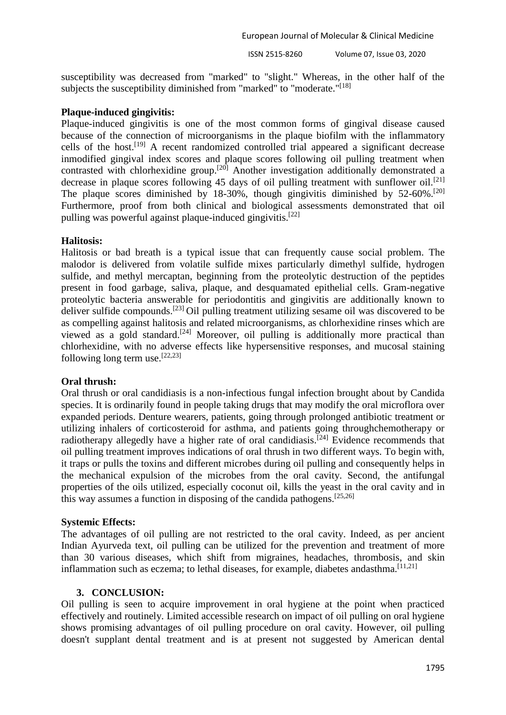European Journal of Molecular & Clinical Medicine

ISSN 2515-8260 Volume 07, Issue 03, 2020

susceptibility was decreased from "marked" to "slight." Whereas, in the other half of the subjects the susceptibility diminished from "marked" to "moderate."<sup>[18]</sup>

# **Plaque-induced gingivitis:**

Plaque-induced gingivitis is one of the most common forms of gingival disease caused because of the connection of microorganisms in the plaque biofilm with the inflammatory cells of the host.[19] A recent randomized controlled trial appeared a significant decrease inmodified gingival index scores and plaque scores following oil pulling treatment when contrasted with chlorhexidine group.<sup>[20]</sup> Another investigation additionally demonstrated a decrease in plaque scores following 45 days of oil pulling treatment with sunflower oil.<sup>[21]</sup> The plaque scores diminished by 18-30%, though gingivitis diminished by 52-60%.<sup>[20]</sup> Furthermore, proof from both clinical and biological assessments demonstrated that oil pulling was powerful against plaque-induced gingivitis.<sup>[22]</sup>

# **Halitosis:**

Halitosis or bad breath is a typical issue that can frequently cause social problem. The malodor is delivered from volatile sulfide mixes particularly dimethyl sulfide, hydrogen sulfide, and methyl mercaptan, beginning from the proteolytic destruction of the peptides present in food garbage, saliva, plaque, and desquamated epithelial cells. Gram-negative proteolytic bacteria answerable for periodontitis and gingivitis are additionally known to deliver sulfide compounds.[23] Oil pulling treatment utilizing sesame oil was discovered to be as compelling against halitosis and related microorganisms, as chlorhexidine rinses which are viewed as a gold standard.<sup>[24]</sup> Moreover, oil pulling is additionally more practical than chlorhexidine, with no adverse effects like hypersensitive responses, and mucosal staining following long term use.  $[22,23]$ 

# **Oral thrush:**

Oral thrush or oral candidiasis is a non-infectious fungal infection brought about by Candida species. It is ordinarily found in people taking drugs that may modify the oral microflora over expanded periods. Denture wearers, patients, going through prolonged antibiotic treatment or utilizing inhalers of corticosteroid for asthma, and patients going throughchemotherapy or radiotherapy allegedly have a higher rate of oral candidiasis.<sup>[24]</sup> Evidence recommends that oil pulling treatment improves indications of oral thrush in two different ways. To begin with, it traps or pulls the toxins and different microbes during oil pulling and consequently helps in the mechanical expulsion of the microbes from the oral cavity. Second, the antifungal properties of the oils utilized, especially coconut oil, kills the yeast in the oral cavity and in this way assumes a function in disposing of the candida pathogens.[25,26]

# **Systemic Effects:**

The advantages of oil pulling are not restricted to the oral cavity. Indeed, as per ancient Indian Ayurveda text, oil pulling can be utilized for the prevention and treatment of more than 30 various diseases, which shift from migraines, headaches, thrombosis, and skin inflammation such as eczema; to lethal diseases, for example, diabetes andasthma.<sup>[11,21]</sup>

# **3. CONCLUSION:**

Oil pulling is seen to acquire improvement in oral hygiene at the point when practiced effectively and routinely. Limited accessible research on impact of oil pulling on oral hygiene shows promising advantages of oil pulling procedure on oral cavity. However, oil pulling doesn't supplant dental treatment and is at present not suggested by American dental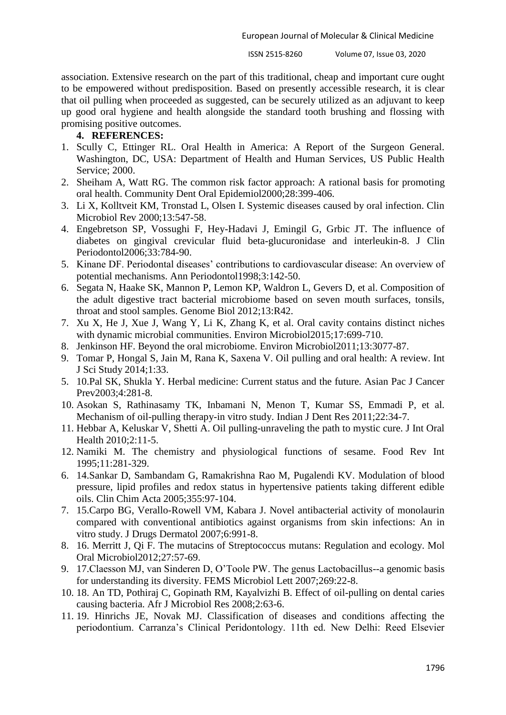association. Extensive research on the part of this traditional, cheap and important cure ought to be empowered without predisposition. Based on presently accessible research, it is clear that oil pulling when proceeded as suggested, can be securely utilized as an adjuvant to keep up good oral hygiene and health alongside the standard tooth brushing and flossing with promising positive outcomes.

# **4. REFERENCES:**

- 1. Scully C, Ettinger RL. Oral Health in America: A Report of the Surgeon General. Washington, DC, USA: Department of Health and Human Services, US Public Health Service; 2000.
- 2. Sheiham A, Watt RG. The common risk factor approach: A rational basis for promoting oral health. Community Dent Oral Epidemiol2000;28:399-406.
- 3. Li X, Kolltveit KM, Tronstad L, Olsen I. Systemic diseases caused by oral infection. Clin Microbiol Rev 2000;13:547-58.
- 4. Engebretson SP, Vossughi F, Hey-Hadavi J, Emingil G, Grbic JT. The influence of diabetes on gingival crevicular fluid beta-glucuronidase and interleukin-8. J Clin Periodontol2006;33:784-90.
- 5. Kinane DF. Periodontal diseases' contributions to cardiovascular disease: An overview of potential mechanisms. Ann Periodontol1998;3:142-50.
- 6. Segata N, Haake SK, Mannon P, Lemon KP, Waldron L, Gevers D, et al. Composition of the adult digestive tract bacterial microbiome based on seven mouth surfaces, tonsils, throat and stool samples. Genome Biol 2012;13:R42.
- 7. Xu X, He J, Xue J, Wang Y, Li K, Zhang K, et al. Oral cavity contains distinct niches with dynamic microbial communities. Environ Microbiol2015;17:699-710.
- 8. Jenkinson HF. Beyond the oral microbiome. Environ Microbiol2011;13:3077-87.
- 9. Tomar P, Hongal S, Jain M, Rana K, Saxena V. Oil pulling and oral health: A review. Int J Sci Study 2014;1:33.
- 5. 10.Pal SK, Shukla Y. Herbal medicine: Current status and the future. Asian Pac J Cancer Prev2003;4:281-8.
- 10. Asokan S, Rathinasamy TK, Inbamani N, Menon T, Kumar SS, Emmadi P, et al. Mechanism of oil-pulling therapy-in vitro study. Indian J Dent Res 2011;22:34-7.
- 11. Hebbar A, Keluskar V, Shetti A. Oil pulling-unraveling the path to mystic cure. J Int Oral Health 2010;2:11-5.
- 12. Namiki M. The chemistry and physiological functions of sesame. Food Rev Int 1995;11:281-329.
- 6. 14.Sankar D, Sambandam G, Ramakrishna Rao M, Pugalendi KV. Modulation of blood pressure, lipid profiles and redox status in hypertensive patients taking different edible oils. Clin Chim Acta 2005;355:97-104.
- 7. 15.Carpo BG, Verallo-Rowell VM, Kabara J. Novel antibacterial activity of monolaurin compared with conventional antibiotics against organisms from skin infections: An in vitro study. J Drugs Dermatol 2007;6:991-8.
- 8. 16. Merritt J, Qi F. The mutacins of Streptococcus mutans: Regulation and ecology. Mol Oral Microbiol2012;27:57-69.
- 9. 17.Claesson MJ, van Sinderen D, O'Toole PW. The genus Lactobacillus--a genomic basis for understanding its diversity. FEMS Microbiol Lett 2007;269:22-8.
- 10. 18. An TD, Pothiraj C, Gopinath RM, Kayalvizhi B. Effect of oil-pulling on dental caries causing bacteria. Afr J Microbiol Res 2008;2:63-6.
- 11. 19. Hinrichs JE, Novak MJ. Classification of diseases and conditions affecting the periodontium. Carranza's Clinical Peridontology. 11th ed. New Delhi: Reed Elsevier